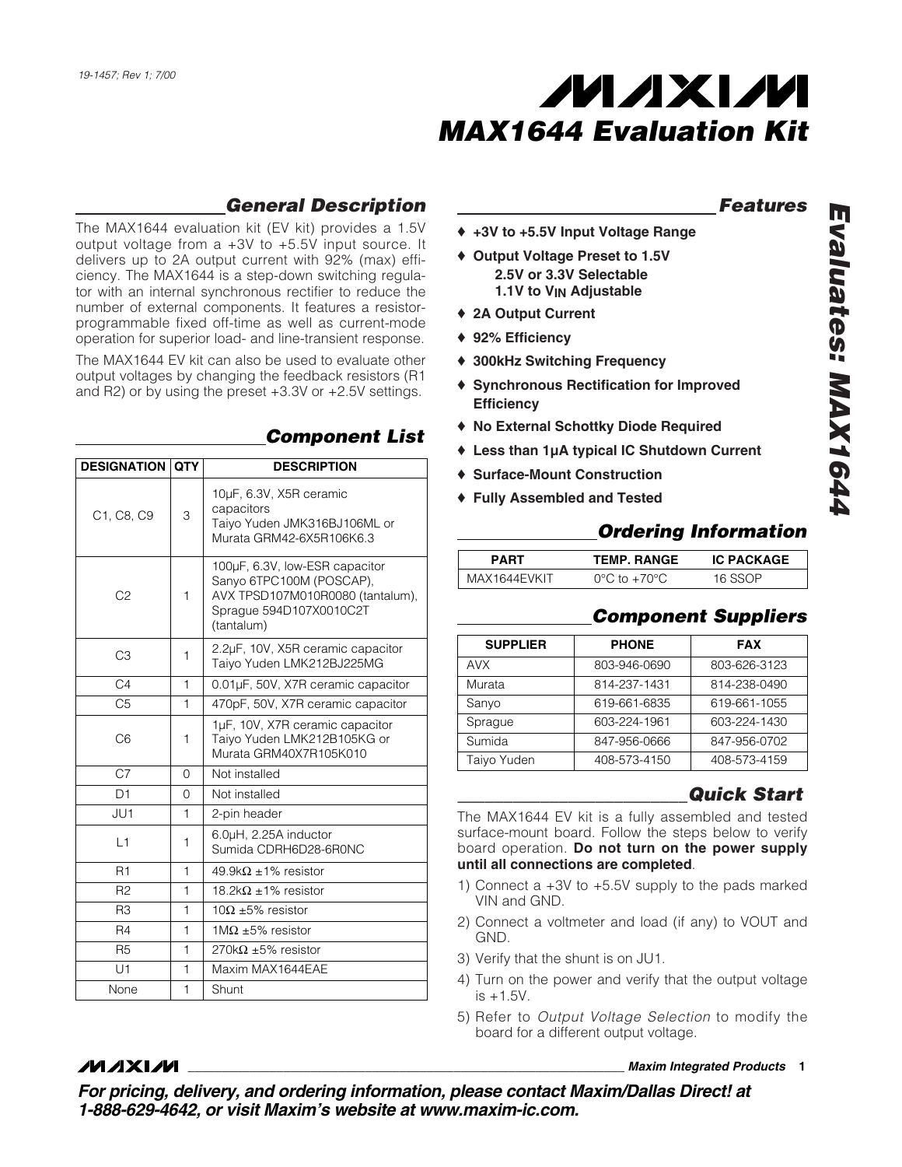

## *General Description*

The MAX1644 evaluation kit (EV kit) provides a 1.5V output voltage from a +3V to +5.5V input source. It delivers up to 2A output current with 92% (max) efficiency. The MAX1644 is a step-down switching regulator with an internal synchronous rectifier to reduce the number of external components. It features a resistorprogrammable fixed off-time as well as current-mode operation for superior load- and line-transient response.

The MAX1644 EV kit can also be used to evaluate other output voltages by changing the feedback resistors (R1 and R2) or by using the preset +3.3V or +2.5V settings.

| <b>DESIGNATION QTY</b> |              | <b>DESCRIPTION</b>                                                                                                                      |  |
|------------------------|--------------|-----------------------------------------------------------------------------------------------------------------------------------------|--|
| C1, C8, C9             | 3            | 10µF, 6.3V, X5R ceramic<br>capacitors<br>Taiyo Yuden JMK316BJ106ML or<br>Murata GRM42-6X5R106K6.3                                       |  |
| C <sub>2</sub>         | 1            | 100µF, 6.3V, low-ESR capacitor<br>Sanyo 6TPC100M (POSCAP),<br>AVX TPSD107M010R0080 (tantalum),<br>Sprague 594D107X0010C2T<br>(tantalum) |  |
| C <sub>3</sub>         | 1            | 2.2µF, 10V, X5R ceramic capacitor<br>Taiyo Yuden LMK212BJ225MG                                                                          |  |
| C <sub>4</sub>         | $\mathbf{1}$ | 0.01µF, 50V, X7R ceramic capacitor                                                                                                      |  |
| C <sub>5</sub>         | 1            | 470pF, 50V, X7R ceramic capacitor                                                                                                       |  |
| C <sub>6</sub>         | 1            | 1µF, 10V, X7R ceramic capacitor<br>Taiyo Yuden LMK212B105KG or<br>Murata GRM40X7R105K010                                                |  |
| C <sub>7</sub>         | 0            | Not installed                                                                                                                           |  |
| D <sub>1</sub>         | 0            | Not installed                                                                                                                           |  |
| JU1                    | 1            | 2-pin header                                                                                                                            |  |
| L1                     | 1            | 6.0µH, 2.25A inductor<br>Sumida CDRH6D28-6R0NC                                                                                          |  |
| R <sub>1</sub>         | 1            | 49.9kΩ ±1% resistor                                                                                                                     |  |
| R <sub>2</sub>         | 1            | $18.2\mathrm{k}\Omega$ ±1% resistor                                                                                                     |  |
| R <sub>3</sub>         | 1            | $10\Omega$ ±5% resistor                                                                                                                 |  |
| R4                     | 1            | 1M $\Omega$ ±5% resistor                                                                                                                |  |
| <b>R5</b>              | 1            | 270k $\Omega$ ±5% resistor                                                                                                              |  |
| U1                     | 1            | Maxim MAX1644EAE                                                                                                                        |  |
| None                   | $\mathbf{1}$ | Shunt                                                                                                                                   |  |

*MAXIM* 

## *Component List*

### *Features*

- ♦ **+3V to +5.5V Input Voltage Range**
- ♦ **Output Voltage Preset to 1.5V 2.5V or 3.3V Selectable 1.1V to VIN Adjustable**
- ♦ **2A Output Current**
- ♦ **92% Efficiency**
- ♦ **300kHz Switching Frequency**
- ♦ **Synchronous Rectification for Improved Efficiency**
- ♦ **No External Schottky Diode Required**
- ♦ **Less than 1µA typical IC Shutdown Current**
- ♦ **Surface-Mount Construction**
- ♦ **Fully Assembled and Tested**

## *Ordering Information*

| PART | TEMP. RANGE                 | <b>IC PACKAGE</b> |
|------|-----------------------------|-------------------|
| IKIT | to $+70^{\circ}$ C<br>۱۷۲٬۰ | ee∩d              |

## *Component Suppliers*

| <b>SUPPLIER</b>             | <b>PHONE</b> | <b>FAX</b>   |
|-----------------------------|--------------|--------------|
| <b>AVX</b>                  | 803-946-0690 | 803-626-3123 |
| Murata                      | 814-237-1431 | 814-238-0490 |
| Sanyo                       | 619-661-6835 | 619-661-1055 |
| Sprague                     | 603-224-1961 | 603-224-1430 |
| Sumida                      | 847-956-0666 | 847-956-0702 |
| Taiyo Yuden<br>408-573-4150 |              | 408-573-4159 |

## *\_\_\_\_\_\_\_\_\_\_\_\_\_\_\_\_\_\_\_\_\_\_\_\_\_Quick Start*

The MAX1644 EV kit is a fully assembled and tested surface-mount board. Follow the steps below to verify board operation. **Do not turn on the power supply until all connections are completed**.

- 1) Connect a +3V to +5.5V supply to the pads marked VIN and GND.
- 2) Connect a voltmeter and load (if any) to VOUT and GND.
- 3) Verify that the shunt is on JU1.
- 4) Turn on the power and verify that the output voltage  $is +1.5V.$
- 5) Refer to *Output Voltage Selection* to modify the board for a different output voltage.

#### **\_\_\_\_\_\_\_\_\_\_\_\_\_\_\_\_\_\_\_\_\_\_\_\_\_\_\_\_\_\_\_\_\_\_\_\_\_\_\_\_\_\_\_\_\_\_\_\_\_\_\_\_\_\_\_\_\_\_\_\_\_\_\_\_** *Maxim Integrated Products* **1**

*For pricing, delivery, and ordering information, please contact Maxim/Dallas Direct! at 1-888-629-4642, or visit Maxim's website at www.maxim-ic.com.*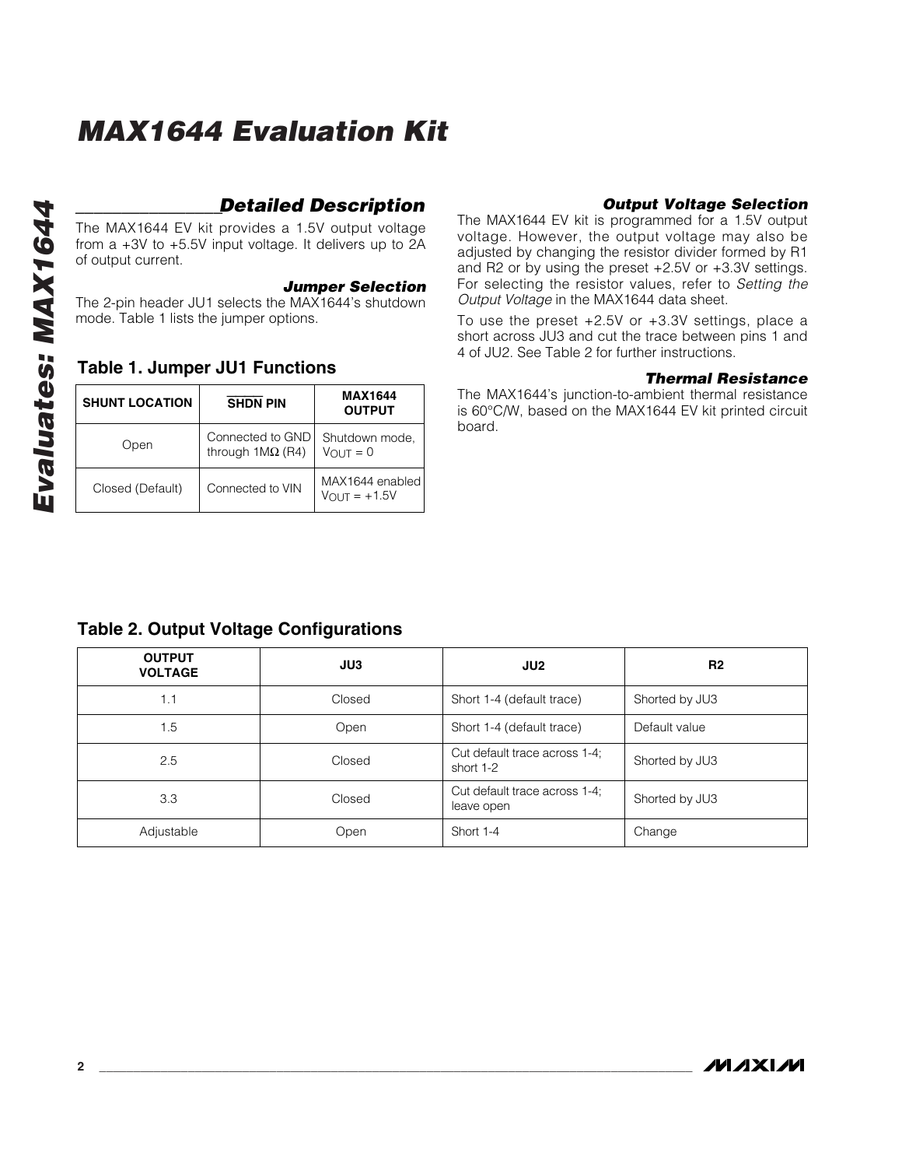# *MAX1644 Evaluation Kit*

## *\_\_\_\_\_\_\_\_\_\_\_\_\_\_\_\_Detailed Description*

The MAX1644 EV kit provides a 1.5V output voltage from a +3V to +5.5V input voltage. It delivers up to 2A of output current.

#### *Jumper Selection*

The 2-pin header JU1 selects the MAX1644's shutdown mode. Table 1 lists the jumper options.

### **Table 1. Jumper JU1 Functions**

| <b>SHUNT LOCATION</b> | <b>SHDN PIN</b>                                    | <b>MAX1644</b><br><b>OUTPUT</b>             |
|-----------------------|----------------------------------------------------|---------------------------------------------|
| Open                  | Connected to GND<br>through $1\text{M}\Omega$ (R4) | Shutdown mode,<br>$V$ OUT = 0               |
| Closed (Default)      | Connected to VIN                                   | MAX1644 enabled<br>$V_{\text{OUT}} = +1.5V$ |

#### *Output Voltage Selection*

The MAX1644 EV kit is programmed for a 1.5V output voltage. However, the output voltage may also be adjusted by changing the resistor divider formed by R1 and R2 or by using the preset +2.5V or +3.3V settings. For selecting the resistor values, refer to *Setting the Output Voltage* in the MAX1644 data sheet.

To use the preset +2.5V or +3.3V settings, place a short across JU3 and cut the trace between pins 1 and 4 of JU2. See Table 2 for further instructions.

#### *Thermal Resistance*

The MAX1644's junction-to-ambient thermal resistance is 60°C/W, based on the MAX1644 EV kit printed circuit board.

## **Table 2. Output Voltage Configurations**

| <b>OUTPUT</b><br><b>VOLTAGE</b> | JU3    | JU2                                         | R <sub>2</sub> |
|---------------------------------|--------|---------------------------------------------|----------------|
| 1.1                             | Closed | Short 1-4 (default trace)                   | Shorted by JU3 |
| 1.5                             | Open   | Short 1-4 (default trace)                   | Default value  |
| 2.5                             | Closed | Cut default trace across 1-4;<br>short 1-2  | Shorted by JU3 |
| 3.3                             | Closed | Cut default trace across 1-4;<br>leave open | Shorted by JU3 |
| Adjustable                      | Open   | Short 1-4                                   | Change         |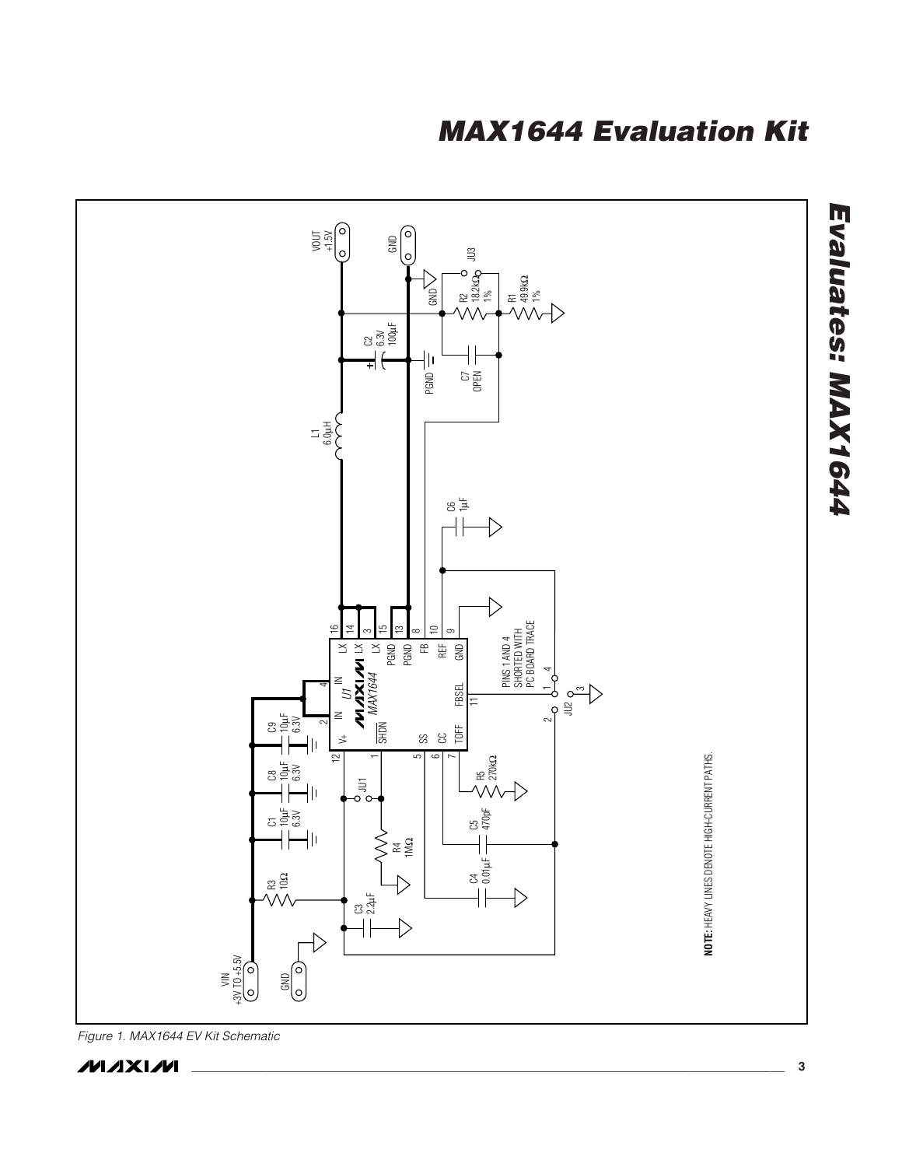## *MAX1644 Evaluation Kit*



*Figure 1. MAX1644 EV Kit Schematic* 

**MAXM**